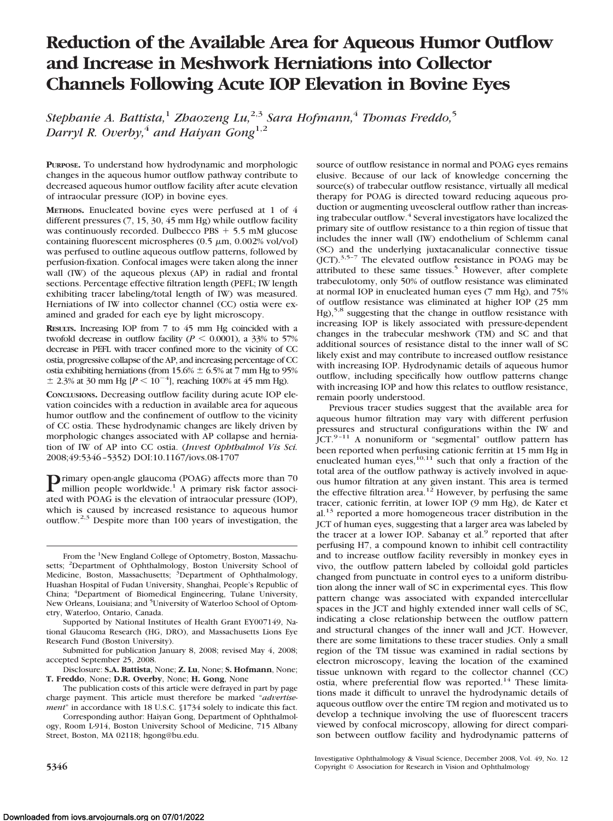# **Reduction of the Available Area for Aqueous Humor Outflow and Increase in Meshwork Herniations into Collector Channels Following Acute IOP Elevation in Bovine Eyes**

*Stephanie A. Battista,*<sup>1</sup> *Zhaozeng Lu,*2,3 *Sara Hofmann,*<sup>4</sup> *Thomas Freddo,*<sup>5</sup> *Darryl R. Overby,*<sup>4</sup> *and Haiyan Gong*1,2

**PURPOSE.** To understand how hydrodynamic and morphologic changes in the aqueous humor outflow pathway contribute to decreased aqueous humor outflow facility after acute elevation of intraocular pressure (IOP) in bovine eyes.

**METHODS.** Enucleated bovine eyes were perfused at 1 of 4 different pressures (7, 15, 30, 45 mm Hg) while outflow facility was continuously recorded. Dulbecco PBS  $+$  5.5 mM glucose containing fluorescent microspheres (0.5  $\mu$ m, 0.002% vol/vol) was perfused to outline aqueous outflow patterns, followed by perfusion-fixation. Confocal images were taken along the inner wall (IW) of the aqueous plexus (AP) in radial and frontal sections. Percentage effective filtration length (PEFL; IW length exhibiting tracer labeling/total length of IW) was measured. Herniations of IW into collector channel (CC) ostia were examined and graded for each eye by light microscopy.

**RESULTS.** Increasing IOP from 7 to 45 mm Hg coincided with a twofold decrease in outflow facility  $(P \le 0.0001)$ , a 33% to 57% decrease in PEFL with tracer confined more to the vicinity of CC ostia, progressive collapse of the AP, and increasing percentage of CC ostia exhibiting herniations (from  $15.6\% \pm 6.5\%$  at 7 mm Hg to 95%  $\pm$  2.3% at 30 mm Hg [ $P < 10^{-4}$ ], reaching 100% at 45 mm Hg).

**CONCLUSIONS.** Decreasing outflow facility during acute IOP elevation coincides with a reduction in available area for aqueous humor outflow and the confinement of outflow to the vicinity of CC ostia. These hydrodynamic changes are likely driven by morphologic changes associated with AP collapse and herniation of IW of AP into CC ostia. (*Invest Ophthalmol Vis Sci.* 2008;49:5346 –5352) DOI:10.1167/iovs.08-1707

**P**rimary open-angle glaucoma (POAG) affects more than 70 million people was determined million people worldwide.<sup>1</sup> A primary risk factor associated with POAG is the elevation of intraocular pressure (IOP), which is caused by increased resistance to aqueous humor outflow.2,3 Despite more than 100 years of investigation, the

Supported by National Institutes of Health Grant EY007149, National Glaucoma Research (HG, DRO), and Massachusetts Lions Eye Research Fund (Boston University).

Submitted for publication January 8, 2008; revised May 4, 2008; accepted September 25, 2008.

Disclosure: **S.A. Battista**, None; **Z. Lu**, None; **S. Hofmann**, None; **T. Freddo**, None; **D.R. Overby**, None; **H. Gong**, None

The publication costs of this article were defrayed in part by page charge payment. This article must therefore be marked "*advertisement*" in accordance with 18 U.S.C. §1734 solely to indicate this fact.

Corresponding author: Haiyan Gong, Department of Ophthalmology, Room L-914, Boston University School of Medicine, 715 Albany Street, Boston, MA 02118; hgong@bu.edu.

source of outflow resistance in normal and POAG eyes remains elusive. Because of our lack of knowledge concerning the source(s) of trabecular outflow resistance, virtually all medical therapy for POAG is directed toward reducing aqueous production or augmenting uveoscleral outflow rather than increasing trabecular outflow.<sup>4</sup> Several investigators have localized the primary site of outflow resistance to a thin region of tissue that includes the inner wall (IW) endothelium of Schlemm canal (SC) and the underlying juxtacanalicular connective tissue  $(JCT).$ <sup>3,5-7</sup> The elevated outflow resistance in POAG may be attributed to these same tissues.<sup>5</sup> However, after complete trabeculotomy, only 50% of outflow resistance was eliminated at normal IOP in enucleated human eyes (7 mm Hg), and 75% of outflow resistance was eliminated at higher IOP (25 mm Hg),<sup>5,8</sup> suggesting that the change in outflow resistance with increasing IOP is likely associated with pressure-dependent changes in the trabecular meshwork (TM) and SC and that additional sources of resistance distal to the inner wall of SC likely exist and may contribute to increased outflow resistance with increasing IOP. Hydrodynamic details of aqueous humor outflow, including specifically how outflow patterns change with increasing IOP and how this relates to outflow resistance, remain poorly understood.

Previous tracer studies suggest that the available area for aqueous humor filtration may vary with different perfusion pressures and structural configurations within the IW and JCT.9 –11 A nonuniform or "segmental" outflow pattern has been reported when perfusing cationic ferritin at 15 mm Hg in enucleated human eyes, $10,11$  such that only a fraction of the total area of the outflow pathway is actively involved in aqueous humor filtration at any given instant. This area is termed the effective filtration area.<sup>12</sup> However, by perfusing the same tracer, cationic ferritin, at lower IOP (9 mm Hg), de Kater et al.<sup>13</sup> reported a more homogeneous tracer distribution in the JCT of human eyes, suggesting that a larger area was labeled by the tracer at a lower IOP. Sabanay et al.<sup>9</sup> reported that after perfusing H7, a compound known to inhibit cell contractility and to increase outflow facility reversibly in monkey eyes in vivo, the outflow pattern labeled by colloidal gold particles changed from punctuate in control eyes to a uniform distribution along the inner wall of SC in experimental eyes. This flow pattern change was associated with expanded intercellular spaces in the JCT and highly extended inner wall cells of SC, indicating a close relationship between the outflow pattern and structural changes of the inner wall and JCT. However, there are some limitations to these tracer studies. Only a small region of the TM tissue was examined in radial sections by electron microscopy, leaving the location of the examined tissue unknown with regard to the collector channel (CC) ostia, where preferential flow was reported.<sup>14</sup> These limitations made it difficult to unravel the hydrodynamic details of aqueous outflow over the entire TM region and motivated us to develop a technique involving the use of fluorescent tracers viewed by confocal microscopy, allowing for direct comparison between outflow facility and hydrodynamic patterns of

Investigative Ophthalmology & Visual Science, December 2008, Vol. 49, No. 12 **5346** Copyright © Association for Research in Vision and Ophthalmology

From the <sup>1</sup>New England College of Optometry, Boston, Massachusetts; <sup>2</sup>Department of Ophthalmology, Boston University School of Medicine, Boston, Massachusetts; <sup>3</sup>Department of Ophthalmology, Huashan Hospital of Fudan University, Shanghai, People's Republic of China; <sup>4</sup> Department of Biomedical Engineering, Tulane University, New Orleans, Louisiana; and <sup>5</sup>University of Waterloo School of Optometry, Waterloo, Ontario, Canada.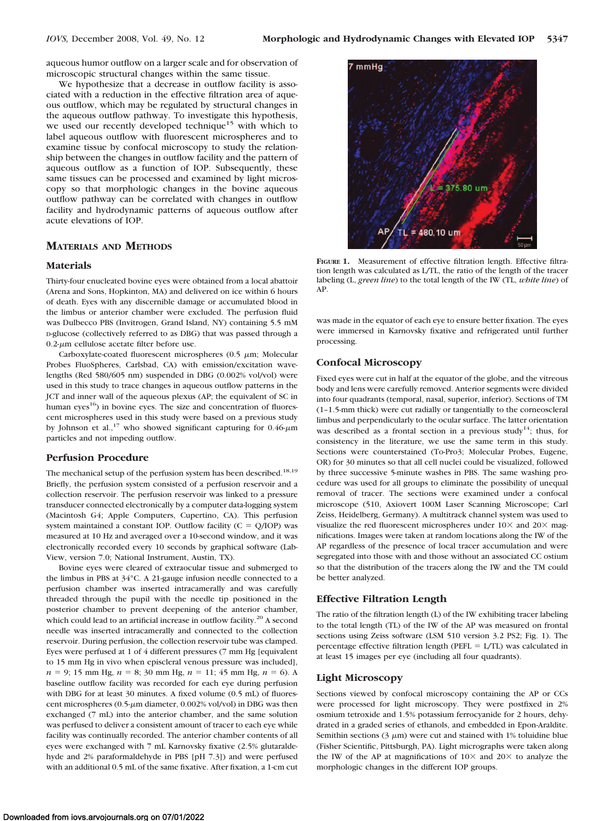aqueous humor outflow on a larger scale and for observation of microscopic structural changes within the same tissue.

We hypothesize that a decrease in outflow facility is associated with a reduction in the effective filtration area of aqueous outflow, which may be regulated by structural changes in the aqueous outflow pathway. To investigate this hypothesis, we used our recently developed technique<sup>15</sup> with which to label aqueous outflow with fluorescent microspheres and to examine tissue by confocal microscopy to study the relationship between the changes in outflow facility and the pattern of aqueous outflow as a function of IOP. Subsequently, these same tissues can be processed and examined by light microscopy so that morphologic changes in the bovine aqueous outflow pathway can be correlated with changes in outflow facility and hydrodynamic patterns of aqueous outflow after acute elevations of IOP.

# **MATERIALS AND METHODS**

#### **Materials**

Thirty-four enucleated bovine eyes were obtained from a local abattoir (Arena and Sons, Hopkinton, MA) and delivered on ice within 6 hours of death. Eyes with any discernible damage or accumulated blood in the limbus or anterior chamber were excluded. The perfusion fluid was Dulbecco PBS (Invitrogen, Grand Island, NY) containing 5.5 mM D-glucose (collectively referred to as DBG) that was passed through a  $0.2$ - $\mu$ m cellulose acetate filter before use.

Carboxylate-coated fluorescent microspheres  $(0.5 \mu m)$ ; Molecular Probes FluoSpheres, Carlsbad, CA) with emission/excitation wavelengths (Red 580/605 nm) suspended in DBG (0.002% vol/vol) were used in this study to trace changes in aqueous outflow patterns in the JCT and inner wall of the aqueous plexus (AP; the equivalent of SC in human eyes<sup>16</sup>) in bovine eyes. The size and concentration of fluorescent microspheres used in this study were based on a previous study by Johnson et al.,<sup>17</sup> who showed significant capturing for  $0.46\text{-}\mu\text{m}$ particles and not impeding outflow.

#### **Perfusion Procedure**

The mechanical setup of the perfusion system has been described.<sup>18,19</sup> Briefly, the perfusion system consisted of a perfusion reservoir and a collection reservoir. The perfusion reservoir was linked to a pressure transducer connected electronically by a computer data-logging system (Macintosh G4; Apple Computers, Cupertino, CA). This perfusion system maintained a constant IOP. Outflow facility ( $C = Q/IOP$ ) was measured at 10 Hz and averaged over a 10-second window, and it was electronically recorded every 10 seconds by graphical software (Lab-View, version 7.0; National Instrument, Austin, TX).

Bovine eyes were cleared of extraocular tissue and submerged to the limbus in PBS at 34°C. A 21-gauge infusion needle connected to a perfusion chamber was inserted intracamerally and was carefully threaded through the pupil with the needle tip positioned in the posterior chamber to prevent deepening of the anterior chamber, which could lead to an artificial increase in outflow facility.<sup>20</sup> A second needle was inserted intracamerally and connected to the collection reservoir. During perfusion, the collection reservoir tube was clamped. Eyes were perfused at 1 of 4 different pressures (7 mm Hg [equivalent to 15 mm Hg in vivo when episcleral venous pressure was included],  $n = 9$ ; 15 mm Hg,  $n = 8$ ; 30 mm Hg,  $n = 11$ ; 45 mm Hg,  $n = 6$ ). A baseline outflow facility was recorded for each eye during perfusion with DBG for at least 30 minutes. A fixed volume (0.5 mL) of fluorescent microspheres (0.5- $\mu$ m diameter, 0.002% vol/vol) in DBG was then exchanged (7 mL) into the anterior chamber, and the same solution was perfused to deliver a consistent amount of tracer to each eye while facility was continually recorded. The anterior chamber contents of all eyes were exchanged with 7 mL Karnovsky fixative (2.5% glutaraldehyde and 2% paraformaldehyde in PBS [pH 7.3]) and were perfused with an additional 0.5 mL of the same fixative. After fixation, a 1-cm cut



**FIGURE 1.** Measurement of effective filtration length. Effective filtration length was calculated as L/TL, the ratio of the length of the tracer labeling (L, *green line*) to the total length of the IW (TL, *white line*) of AP.

was made in the equator of each eye to ensure better fixation. The eyes were immersed in Karnovsky fixative and refrigerated until further processing.

## **Confocal Microscopy**

Fixed eyes were cut in half at the equator of the globe, and the vitreous body and lens were carefully removed. Anterior segments were divided into four quadrants (temporal, nasal, superior, inferior). Sections of TM (1–1.5-mm thick) were cut radially or tangentially to the corneoscleral limbus and perpendicularly to the ocular surface. The latter orientation was described as a frontal section in a previous study<sup>14</sup>; thus, for consistency in the literature, we use the same term in this study. Sections were counterstained (To-Pro3; Molecular Probes, Eugene, OR) for 30 minutes so that all cell nuclei could be visualized, followed by three successive 5-minute washes in PBS. The same washing procedure was used for all groups to eliminate the possibility of unequal removal of tracer. The sections were examined under a confocal microscope (510, Axiovert 100M Laser Scanning Microscope; Carl Zeiss, Heidelberg, Germany). A multitrack channel system was used to visualize the red fluorescent microspheres under  $10\times$  and  $20\times$  magnifications. Images were taken at random locations along the IW of the AP regardless of the presence of local tracer accumulation and were segregated into those with and those without an associated CC ostium so that the distribution of the tracers along the IW and the TM could be better analyzed.

# **Effective Filtration Length**

The ratio of the filtration length (L) of the IW exhibiting tracer labeling to the total length (TL) of the IW of the AP was measured on frontal sections using Zeiss software (LSM 510 version 3.2 PS2; Fig. 1). The percentage effective filtration length (PEFL  $=$  L/TL) was calculated in at least 15 images per eye (including all four quadrants).

#### **Light Microscopy**

Sections viewed by confocal microscopy containing the AP or CCs were processed for light microscopy. They were postfixed in 2% osmium tetroxide and 1.5% potassium ferrocyanide for 2 hours, dehydrated in a graded series of ethanols, and embedded in Epon-Araldite. Semithin sections ( $3 \mu m$ ) were cut and stained with 1% toluidine blue (Fisher Scientific, Pittsburgh, PA). Light micrographs were taken along the IW of the AP at magnifications of  $10\times$  and  $20\times$  to analyze the morphologic changes in the different IOP groups.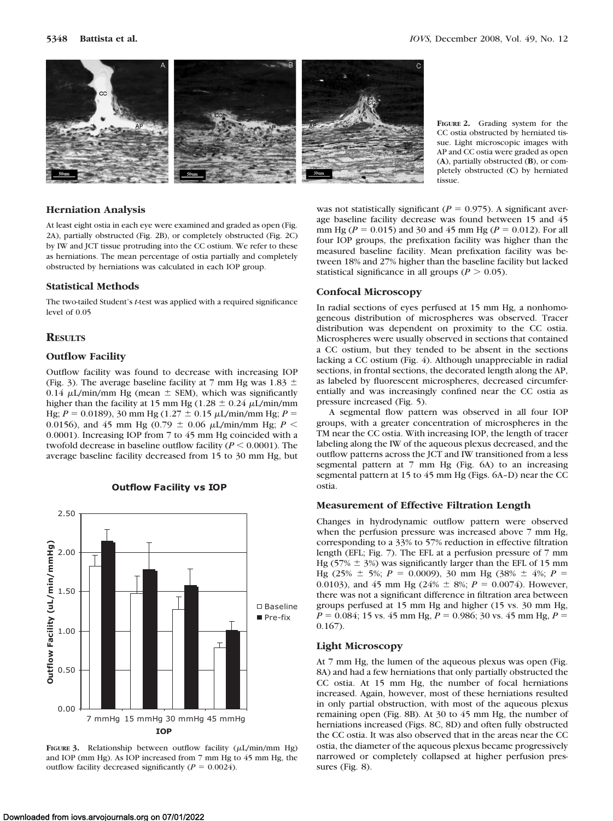

## **Herniation Analysis**

At least eight ostia in each eye were examined and graded as open (Fig. 2A), partially obstructed (Fig. 2B), or completely obstructed (Fig. 2C) by IW and JCT tissue protruding into the CC ostium. We refer to these as herniations. The mean percentage of ostia partially and completely obstructed by herniations was calculated in each IOP group.

#### **Statistical Methods**

The two-tailed Student's *t*-test was applied with a required significance level of 0.05

#### **RESULTS**

# **Outflow Facility**

Outflow facility was found to decrease with increasing IOP (Fig. 3). The average baseline facility at 7 mm Hg was 1.83  $\pm$ 0.14  $\mu$ L/min/mm Hg (mean  $\pm$  SEM), which was significantly higher than the facility at 15 mm Hg (1.28  $\pm$  0.24  $\mu$ L/min/mm Hg;  $P = 0.0189$ ), 30 mm Hg (1.27  $\pm$  0.15  $\mu$ L/min/mm Hg;  $P =$ 0.0156), and 45 mm Hg (0.79  $\pm$  0.06  $\mu$ L/min/mm Hg; *P* < 0.0001). Increasing IOP from 7 to 45 mm Hg coincided with a twofold decrease in baseline outflow facility  $(P \le 0.0001)$ . The average baseline facility decreased from 15 to 30 mm Hg, but



# **Outflow Facility vs IOP**

FIGURE 3. Relationship between outflow facility ( $\mu$ L/min/mm Hg) and IOP (mm Hg). As IOP increased from 7 mm Hg to 45 mm Hg, the outflow facility decreased significantly ( $P = 0.0024$ ).

tissue.

**FIGURE 2.** Grading system for the CC ostia obstructed by herniated tissue. Light microscopic images with AP and CC ostia were graded as open (**A**), partially obstructed (**B**), or completely obstructed (**C**) by herniated

was not statistically significant ( $P = 0.975$ ). A significant average baseline facility decrease was found between 15 and 45 mm Hg ( $P = 0.015$ ) and 30 and 45 mm Hg ( $P = 0.012$ ). For all four IOP groups, the prefixation facility was higher than the measured baseline facility. Mean prefixation facility was between 18% and 27% higher than the baseline facility but lacked statistical significance in all groups ( $P > 0.05$ ).

#### **Confocal Microscopy**

In radial sections of eyes perfused at 15 mm Hg, a nonhomogeneous distribution of microspheres was observed. Tracer distribution was dependent on proximity to the CC ostia. Microspheres were usually observed in sections that contained a CC ostium, but they tended to be absent in the sections lacking a CC ostium (Fig. 4). Although unappreciable in radial sections, in frontal sections, the decorated length along the AP, as labeled by fluorescent microspheres, decreased circumferentially and was increasingly confined near the CC ostia as pressure increased (Fig. 5).

A segmental flow pattern was observed in all four IOP groups, with a greater concentration of microspheres in the TM near the CC ostia. With increasing IOP, the length of tracer labeling along the IW of the aqueous plexus decreased, and the outflow patterns across the JCT and IW transitioned from a less segmental pattern at 7 mm Hg (Fig. 6A) to an increasing segmental pattern at 15 to 45 mm Hg (Figs. 6A–D) near the CC ostia.

#### **Measurement of Effective Filtration Length**

Changes in hydrodynamic outflow pattern were observed when the perfusion pressure was increased above 7 mm Hg, corresponding to a 33% to 57% reduction in effective filtration length (EFL; Fig. 7). The EFL at a perfusion pressure of 7 mm Hg (57%  $\pm$  3%) was significantly larger than the EFL of 15 mm Hg (25%  $\pm$  5%; *P* = 0.0009), 30 mm Hg (38%  $\pm$  4%; *P* = 0.0103), and 45 mm Hg (24%  $\pm$  8%; *P* = 0.0074). However, there was not a significant difference in filtration area between groups perfused at 15 mm Hg and higher (15 vs. 30 mm Hg,  $P = 0.084$ ; 15 vs. 45 mm Hg,  $P = 0.986$ ; 30 vs. 45 mm Hg,  $P =$ 0.167).

#### **Light Microscopy**

At 7 mm Hg, the lumen of the aqueous plexus was open (Fig. 8A) and had a few herniations that only partially obstructed the CC ostia. At 15 mm Hg, the number of focal herniations increased. Again, however, most of these herniations resulted in only partial obstruction, with most of the aqueous plexus remaining open (Fig. 8B). At 30 to 45 mm Hg, the number of herniations increased (Figs. 8C, 8D) and often fully obstructed the CC ostia. It was also observed that in the areas near the CC ostia, the diameter of the aqueous plexus became progressively narrowed or completely collapsed at higher perfusion pressures (Fig. 8).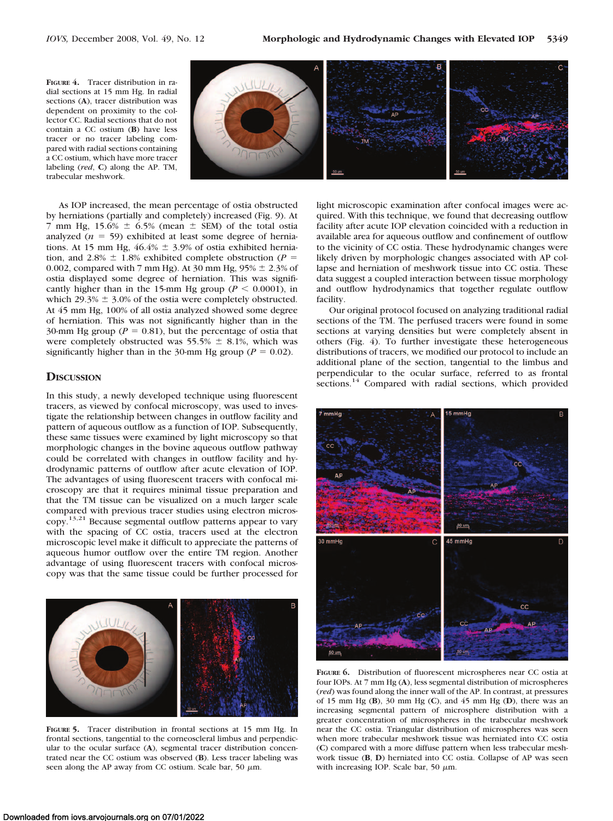**FIGURE 4.** Tracer distribution in radial sections at 15 mm Hg. In radial sections (**A**), tracer distribution was dependent on proximity to the collector CC. Radial sections that do not contain a CC ostium (**B**) have less tracer or no tracer labeling compared with radial sections containing a CC ostium, which have more tracer labeling (*red*, **C**) along the AP. TM, trabecular meshwork.



As IOP increased, the mean percentage of ostia obstructed by herniations (partially and completely) increased (Fig. 9). At 7 mm Hg,  $15.6\% \pm 6.5\%$  (mean  $\pm$  SEM) of the total ostia analyzed  $(n = 59)$  exhibited at least some degree of herniations. At 15 mm Hg,  $46.4\% \pm 3.9\%$  of ostia exhibited herniation, and 2.8%  $\pm$  1.8% exhibited complete obstruction ( $P =$ 0.002, compared with 7 mm Hg). At 30 mm Hg,  $95\% \pm 2.3\%$  of ostia displayed some degree of herniation. This was significantly higher than in the 15-mm Hg group ( $P < 0.0001$ ), in which 29.3%  $\pm$  3.0% of the ostia were completely obstructed. At 45 mm Hg, 100% of all ostia analyzed showed some degree of herniation. This was not significantly higher than in the 30-mm Hg group ( $P = 0.81$ ), but the percentage of ostia that were completely obstructed was 55.5%  $\pm$  8.1%, which was significantly higher than in the 30-mm Hg group ( $P = 0.02$ ).

#### **DISCUSSION**

In this study, a newly developed technique using fluorescent tracers, as viewed by confocal microscopy, was used to investigate the relationship between changes in outflow facility and pattern of aqueous outflow as a function of IOP. Subsequently, these same tissues were examined by light microscopy so that morphologic changes in the bovine aqueous outflow pathway could be correlated with changes in outflow facility and hydrodynamic patterns of outflow after acute elevation of IOP. The advantages of using fluorescent tracers with confocal microscopy are that it requires minimal tissue preparation and that the TM tissue can be visualized on a much larger scale compared with previous tracer studies using electron microscopy.13,21 Because segmental outflow patterns appear to vary with the spacing of CC ostia, tracers used at the electron microscopic level make it difficult to appreciate the patterns of aqueous humor outflow over the entire TM region. Another advantage of using fluorescent tracers with confocal microscopy was that the same tissue could be further processed for



**FIGURE 5.** Tracer distribution in frontal sections at 15 mm Hg. In frontal sections, tangential to the corneoscleral limbus and perpendicular to the ocular surface (**A**), segmental tracer distribution concentrated near the CC ostium was observed (**B**). Less tracer labeling was seen along the AP away from CC ostium. Scale bar, 50  $\mu$ m.

light microscopic examination after confocal images were acquired. With this technique, we found that decreasing outflow facility after acute IOP elevation coincided with a reduction in available area for aqueous outflow and confinement of outflow to the vicinity of CC ostia. These hydrodynamic changes were likely driven by morphologic changes associated with AP collapse and herniation of meshwork tissue into CC ostia. These data suggest a coupled interaction between tissue morphology and outflow hydrodynamics that together regulate outflow facility.

Our original protocol focused on analyzing traditional radial sections of the TM. The perfused tracers were found in some sections at varying densities but were completely absent in others (Fig. 4). To further investigate these heterogeneous distributions of tracers, we modified our protocol to include an additional plane of the section, tangential to the limbus and perpendicular to the ocular surface, referred to as frontal sections.<sup>14</sup> Compared with radial sections, which provided



**FIGURE 6.** Distribution of fluorescent microspheres near CC ostia at four IOPs. At 7 mm Hg (**A**), less segmental distribution of microspheres (*red*) was found along the inner wall of the AP. In contrast, at pressures of 15 mm Hg (**B**), 30 mm Hg (**C**), and 45 mm Hg (**D**), there was an increasing segmental pattern of microsphere distribution with a greater concentration of microspheres in the trabecular meshwork near the CC ostia. Triangular distribution of microspheres was seen when more trabecular meshwork tissue was herniated into CC ostia (**C**) compared with a more diffuse pattern when less trabecular meshwork tissue (**B**, **D**) herniated into CC ostia. Collapse of AP was seen with increasing IOP. Scale bar, 50  $\mu$ m.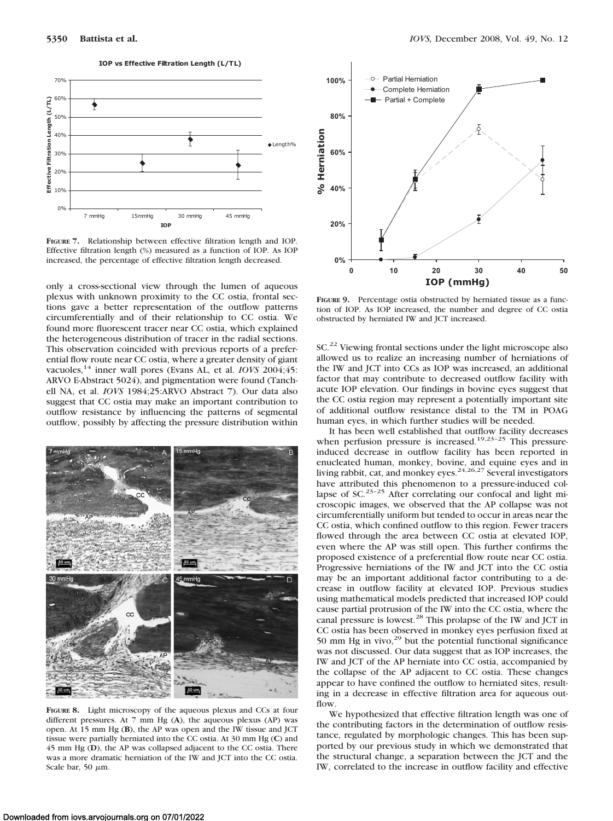

**FIGURE 7.** Relationship between effective filtration length and IOP. Effective filtration length (%) measured as a function of IOP. As IOP increased, the percentage of effective filtration length decreased.

only a cross-sectional view through the lumen of aqueous plexus with unknown proximity to the CC ostia, frontal sections gave a better representation of the outflow patterns circumferentially and of their relationship to CC ostia. We found more fluorescent tracer near CC ostia, which explained the heterogeneous distribution of tracer in the radial sections. This observation coincided with previous reports of a preferential flow route near CC ostia, where a greater density of giant vacuoles,14 inner wall pores (Evans AL, et al. *IOVS* 2004;45: ARVO E-Abstract 5024), and pigmentation were found (Tanchell NA, et al. *IOVS* 1984;25:ARVO Abstract 7). Our data also suggest that CC ostia may make an important contribution to outflow resistance by influencing the patterns of segmental outflow, possibly by affecting the pressure distribution within



**FIGURE 8.** Light microscopy of the aqueous plexus and CCs at four different pressures. At 7 mm Hg (**A**), the aqueous plexus (AP) was open. At 15 mm Hg (**B**), the AP was open and the IW tissue and JCT tissue were partially herniated into the CC ostia. At 30 mm Hg (**C**) and 45 mm Hg (**D**), the AP was collapsed adjacent to the CC ostia. There was a more dramatic herniation of the IW and JCT into the CC ostia. Scale bar, 50  $\mu$ m.



**FIGURE 9.** Percentage ostia obstructed by herniated tissue as a function of IOP. As IOP increased, the number and degree of CC ostia obstructed by herniated IW and JCT increased.

SC.<sup>22</sup> Viewing frontal sections under the light microscope also allowed us to realize an increasing number of herniations of the IW and JCT into CCs as IOP was increased, an additional factor that may contribute to decreased outflow facility with acute IOP elevation. Our findings in bovine eyes suggest that the CC ostia region may represent a potentially important site of additional outflow resistance distal to the TM in POAG human eyes, in which further studies will be needed.

It has been well established that outflow facility decreases when perfusion pressure is increased.<sup>19,23-25</sup> This pressureinduced decrease in outflow facility has been reported in enucleated human, monkey, bovine, and equine eyes and in living rabbit, cat, and monkey eyes. $24,26,27$  Several investigators have attributed this phenomenon to a pressure-induced collapse of  $SC^{23-25}$  After correlating our confocal and light microscopic images, we observed that the AP collapse was not circumferentially uniform but tended to occur in areas near the CC ostia, which confined outflow to this region. Fewer tracers flowed through the area between CC ostia at elevated IOP, even where the AP was still open. This further confirms the proposed existence of a preferential flow route near CC ostia. Progressive herniations of the IW and JCT into the CC ostia may be an important additional factor contributing to a decrease in outflow facility at elevated IOP. Previous studies using mathematical models predicted that increased IOP could cause partial protrusion of the IW into the CC ostia, where the canal pressure is lowest.<sup>28</sup> This prolapse of the IW and JCT in CC ostia has been observed in monkey eyes perfusion fixed at 50 mm Hg in vivo, $29$  but the potential functional significance was not discussed. Our data suggest that as IOP increases, the IW and JCT of the AP herniate into CC ostia, accompanied by the collapse of the AP adjacent to CC ostia. These changes appear to have confined the outflow to herniated sites, resulting in a decrease in effective filtration area for aqueous outflow.

We hypothesized that effective filtration length was one of the contributing factors in the determination of outflow resistance, regulated by morphologic changes. This has been supported by our previous study in which we demonstrated that the structural change, a separation between the JCT and the IW, correlated to the increase in outflow facility and effective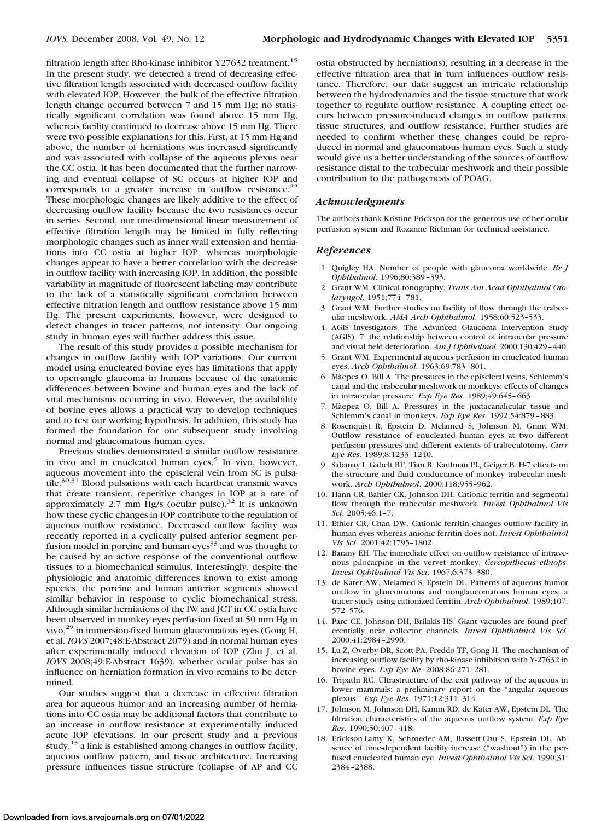filtration length after Rho-kinase inhibitor Y27632 treatment.<sup>15</sup> In the present study, we detected a trend of decreasing effective filtration length associated with decreased outflow facility with elevated IOP. However, the bulk of the effective filtration length change occurred between 7 and 15 mm Hg; no statistically significant correlation was found above 15 mm Hg, whereas facility continued to decrease above 15 mm Hg. There were two possible explanations for this. First, at 15 mm Hg and above, the number of herniations was increased significantly and was associated with collapse of the aqueous plexus near the CC ostia. It has been documented that the further narrowing and eventual collapse of SC occurs at higher IOP and corresponds to a greater increase in outflow resistance.<sup>22</sup> These morphologic changes are likely additive to the effect of decreasing outflow facility because the two resistances occur in series. Second, our one-dimensional linear measurement of effective filtration length may be limited in fully reflecting morphologic changes such as inner wall extension and herniations into CC ostia at higher IOP, whereas morphologic changes appear to have a better correlation with the decrease in outflow facility with increasing IOP. In addition, the possible variability in magnitude of fluorescent labeling may contribute to the lack of a statistically significant correlation between effective filtration length and outflow resistance above 15 mm Hg. The present experiments, however, were designed to detect changes in tracer patterns, not intensity. Our ongoing study in human eyes will further address this issue.

The result of this study provides a possible mechanism for changes in outflow facility with IOP variations. Our current model using enucleated bovine eyes has limitations that apply to open-angle glaucoma in humans because of the anatomic differences between bovine and human eyes and the lack of vital mechanisms occurring in vivo. However, the availability of bovine eyes allows a practical way to develop techniques and to test our working hypothesis. In addition, this study has formed the foundation for our subsequent study involving normal and glaucomatous human eyes.

Previous studies demonstrated a similar outflow resistance in vivo and in enucleated human eyes.<sup>5</sup> In vivo, however, aqueous movement into the episcleral vein from SC is pulsatile. $30,31$  Blood pulsations with each heartbeat transmit waves that create transient, repetitive changes in IOP at a rate of approximately 2.7 mm Hg/s (ocular pulse).<sup>32</sup> It is unknown how these cyclic changes in IOP contribute to the regulation of aqueous outflow resistance. Decreased outflow facility was recently reported in a cyclically pulsed anterior segment perfusion model in porcine and human  $eyes<sup>33</sup>$  and was thought to be caused by an active response of the conventional outflow tissues to a biomechanical stimulus. Interestingly, despite the physiologic and anatomic differences known to exist among species, the porcine and human anterior segments showed similar behavior in response to cyclic biomechanical stress. Although similar herniations of the IW and JCT in CC ostia have been observed in monkey eyes perfusion fixed at 50 mm Hg in vivo,<sup>29</sup> in immersion-fixed human glaucomatous eyes (Gong H, et al. *IOVS* 2007;48:E-Abstract 2079) and in normal human eyes after experimentally induced elevation of IOP (Zhu J, et al. *IOVS* 2008;49:E-Abstract 1639), whether ocular pulse has an influence on herniation formation in vivo remains to be determined.

Our studies suggest that a decrease in effective filtration area for aqueous humor and an increasing number of herniations into CC ostia may be additional factors that contribute to an increase in outflow resistance at experimentally induced acute IOP elevations. In our present study and a previous study, $15$  a link is established among changes in outflow facility, aqueous outflow pattern, and tissue architecture. Increasing pressure influences tissue structure (collapse of AP and CC ostia obstructed by herniations), resulting in a decrease in the effective filtration area that in turn influences outflow resistance. Therefore, our data suggest an intricate relationship between the hydrodynamics and the tissue structure that work together to regulate outflow resistance. A coupling effect occurs between pressure-induced changes in outflow patterns, tissue structures, and outflow resistance. Further studies are needed to confirm whether these changes could be reproduced in normal and glaucomatous human eyes. Such a study would give us a better understanding of the sources of outflow resistance distal to the trabecular meshwork and their possible contribution to the pathogenesis of POAG.

#### *Acknowledgments*

The authors thank Kristine Erickson for the generous use of her ocular perfusion system and Rozanne Richman for technical assistance.

#### *References*

- 1. Quigley HA. Number of people with glaucoma worldwide. *Br J Ophthalmol*. 1996;80:389 –393.
- 2. Grant WM. Clinical tonography. *Trans Am Acad Ophthalmol Otolaryngol*. 1951;774 –781.
- 3. Grant WM. Further studies on facility of flow through the trabecular meshwork. *AMA Arch Ophthalmol*. 1958;60:523–533.
- 4. AGIS Investigators. The Advanced Glaucoma Intervention Study (AGIS), 7: the relationship between control of intraocular pressure and visual field deterioration. *Am J Ophthalmol*. 2000;130:429 –440.
- 5. Grant WM. Experimental aqueous perfusion in enucleated human eyes. *Arch Ophthalmol*. 1963;69:783– 801.
- 6. Mäepea O, Bill A. The pressures in the episcleral veins, Schlemm's canal and the trabecular meshwork in monkeys: effects of changes in intraocular pressure. *Exp Eye Res*. 1989;49:645– 663.
- 7. Mäepea O, Bill A. Pressures in the juxtacanalicular tissue and Schlemm's canal in monkeys. *Exp Eye Res*. 1992;54:879 – 883.
- 8. Rosenquist R, Epstein D, Melamed S, Johnson M, Grant WM. Outflow resistance of enucleated human eyes at two different perfusion pressures and different extents of trabeculotomy. *Curr Eye Res*. 1989;8:1233–1240.
- 9. Sabanay I, Gabelt BT, Tian B, Kaufman PL, Geiger B. H-7 effects on the structure and fluid conductance of monkey trabecular meshwork. *Arch Ophthalmol*. 2000;118:955–962.
- 10. Hann CR, Bahler CK, Johnson DH. Cationic ferritin and segmental flow through the trabecular meshwork. *Invest Ophthalmol Vis Sci*. 2005;46:1–7.
- 11. Ethier CR, Chan DW. Cationic ferritin changes outflow facility in human eyes whereas anionic ferritin does not. *Invest Ophthalmol Vis Sci*. 2001;42:1795–1802.
- 12. Barany EH. The immediate effect on outflow resistance of intravenous pilocarpine in the vervet monkey, *Cercopithecus ethiops*. *Invest Ophthalmol Vis Sci*. 1967;6:373–380.
- 13. de Kater AW, Melamed S, Epstein DL. Patterns of aqueous humor outflow in glaucomatous and nonglaucomatous human eyes: a tracer study using cationized ferritin. *Arch Ophthalmol*. 1989;107: 572–576.
- 14. Parc CE, Johnson DH, Brilakis HS. Giant vacuoles are found preferentially near collector channels. *Invest Ophthalmol Vis Sci*. 2000;41:2984 –2990.
- 15. Lu Z, Overby DR, Scott PA, Freddo TF, Gong H. The mechanism of increasing outflow facility by rho-kinase inhibition with Y-27632 in bovine eyes. *Exp Eye Re*. 2008;86:271–281.
- 16. Tripathi RC. Ultrastructure of the exit pathway of the aqueous in lower mammals: a preliminary report on the "angular aqueous plexus." *Exp Eye Res*. 1971;12:311–314.
- 17. Johnson M, Johnson DH, Kamm RD, de Kater AW, Epstein DL. The filtration characteristics of the aqueous outflow system. *Exp Eye Res*. 1990;50:407– 418.
- 18. Erickson-Lamy K, Schroeder AM, Bassett-Chu S, Epstein DL. Absence of time-dependent facility increase ("washout") in the perfused enucleated human eye. *Invest Ophthalmol Vis Sci*. 1990;31: 2384 –2388.